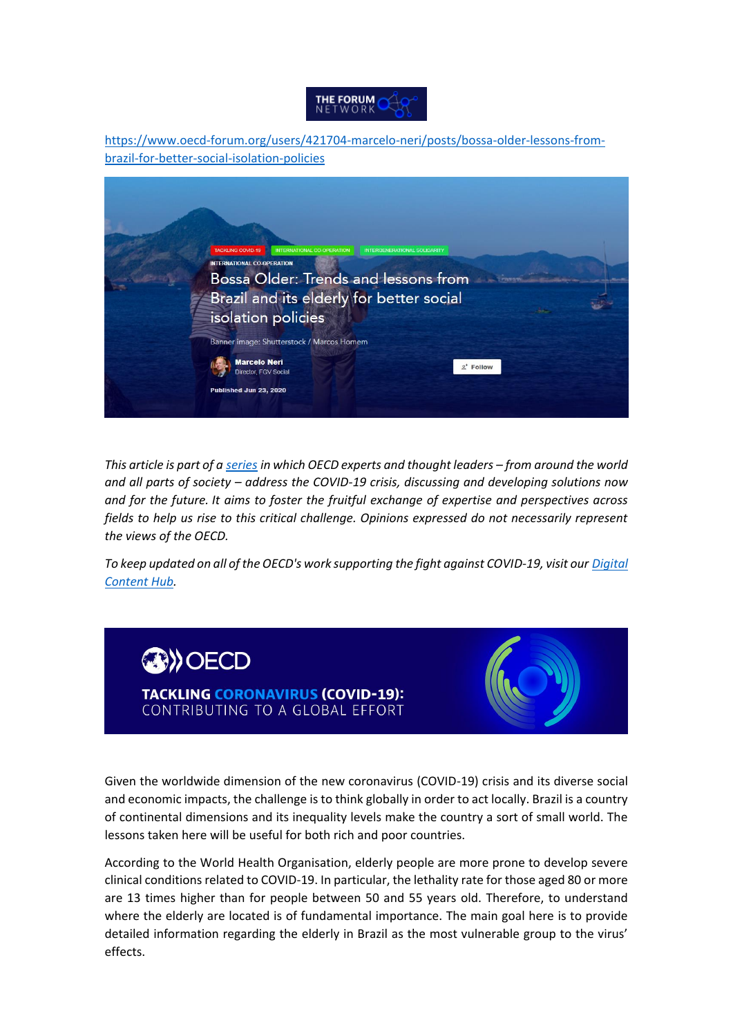## THE FORUM

[https://www.oecd-forum.org/users/421704-marcelo-neri/posts/bossa-older-lessons-from](https://www.oecd-forum.org/users/421704-marcelo-neri/posts/bossa-older-lessons-from-brazil-for-better-social-isolation-policies)[brazil-for-better-social-isolation-policies](https://www.oecd-forum.org/users/421704-marcelo-neri/posts/bossa-older-lessons-from-brazil-for-better-social-isolation-policies)



*This article is part of a [series](https://www.oecd-forum.org/badges/1420-tackling-covid-19) in which OECD experts and thought leaders – from around the world and all parts of society – address the COVID-19 crisis, discussing and developing solutions now and for the future. It aims to foster the fruitful exchange of expertise and perspectives across fields to help us rise to this critical challenge. Opinions expressed do not necessarily represent the views of the OECD.*

*To keep updated on all of the OECD's work supporting the fight against COVID-19, visit our [Digital](http://oecd.org/coronavirus/en/)  [Content Hub.](http://oecd.org/coronavirus/en/)*

# **OB**) OECD

**TACKLING CORONAVIRUS (COVID-19):** CONTRIBUTING TO A GLOBAL EFFORT



Given the worldwide dimension of the new coronavirus (COVID-19) crisis and its diverse social and economic impacts, the challenge is to think globally in order to act locally. Brazil is a country of continental dimensions and its inequality levels make the country a sort of small world. The lessons taken here will be useful for both rich and poor countries.

According to the World Health Organisation, elderly people are more prone to develop severe clinical conditions related to COVID-19. In particular, the lethality rate for those aged 80 or more are 13 times higher than for people between 50 and 55 years old. Therefore, to understand where the elderly are located is of fundamental importance. The main goal here is to provide detailed information regarding the elderly in Brazil as the most vulnerable group to the virus' effects.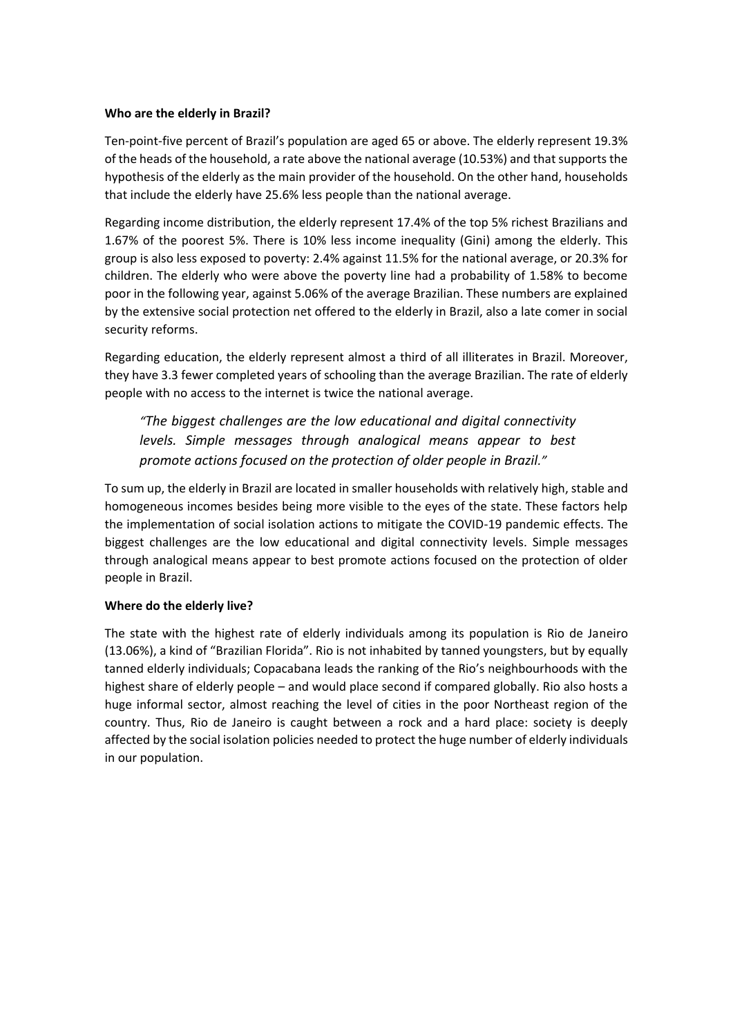#### **Who are the elderly in Brazil?**

Ten-point-five percent of Brazil's population are aged 65 or above. The elderly represent 19.3% of the heads of the household, a rate above the national average (10.53%) and that supports the hypothesis of the elderly as the main provider of the household. On the other hand, households that include the elderly have 25.6% less people than the national average.

Regarding income distribution, the elderly represent 17.4% of the top 5% richest Brazilians and 1.67% of the poorest 5%. There is 10% less income inequality (Gini) among the elderly. This group is also less exposed to poverty: 2.4% against 11.5% for the national average, or 20.3% for children. The elderly who were above the poverty line had a probability of 1.58% to become poor in the following year, against 5.06% of the average Brazilian. These numbers are explained by the extensive social protection net offered to the elderly in Brazil, also a late comer in social security reforms.

Regarding education, the elderly represent almost a third of all illiterates in Brazil. Moreover, they have 3.3 fewer completed years of schooling than the average Brazilian. The rate of elderly people with no access to the internet is twice the national average.

*"The biggest challenges are the low educational and digital connectivity levels. Simple messages through analogical means appear to best promote actions focused on the protection of older people in Brazil."*

To sum up, the elderly in Brazil are located in smaller households with relatively high, stable and homogeneous incomes besides being more visible to the eyes of the state. These factors help the implementation of social isolation actions to mitigate the COVID-19 pandemic effects. The biggest challenges are the low educational and digital connectivity levels. Simple messages through analogical means appear to best promote actions focused on the protection of older people in Brazil.

### **Where do the elderly live?**

The state with the highest rate of elderly individuals among its population is Rio de Janeiro (13.06%), a kind of "Brazilian Florida". Rio is not inhabited by tanned youngsters, but by equally tanned elderly individuals; Copacabana leads the ranking of the Rio's neighbourhoods with the highest share of elderly people – and would place second if compared globally. Rio also hosts a huge informal sector, almost reaching the level of cities in the poor Northeast region of the country. Thus, Rio de Janeiro is caught between a rock and a hard place: society is deeply affected by the social isolation policies needed to protect the huge number of elderly individuals in our population.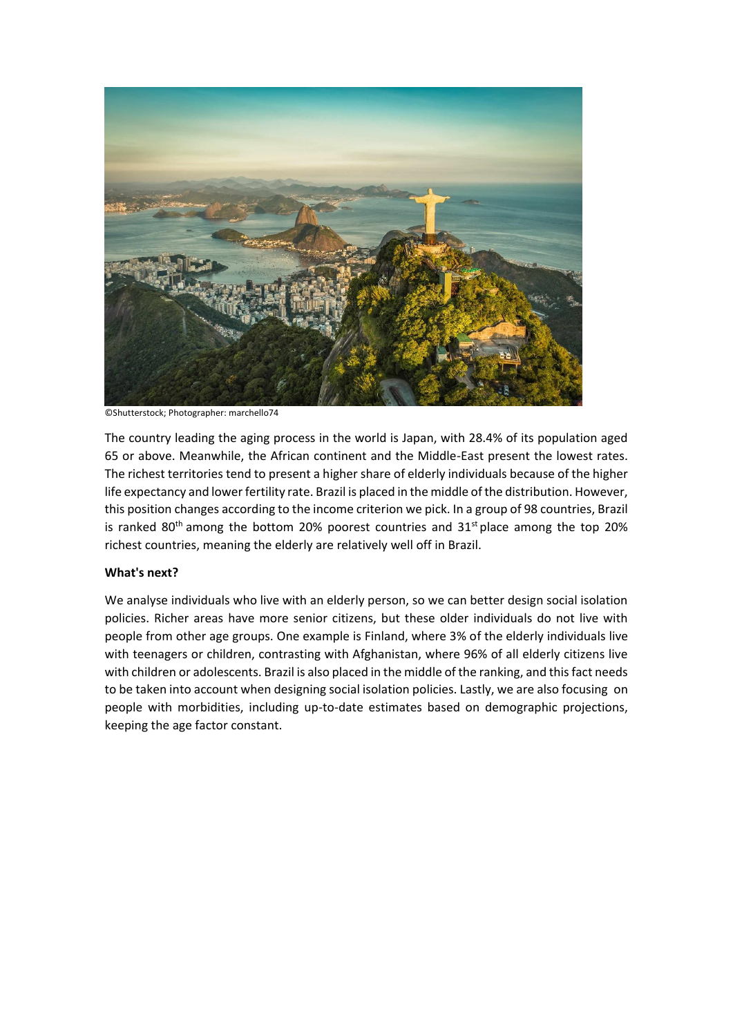

©Shutterstock; Photographer: marchello74

The country leading the aging process in the world is Japan, with 28.4% of its population aged 65 or above. Meanwhile, the African continent and the Middle-East present the lowest rates. The richest territories tend to present a higher share of elderly individuals because of the higher life expectancy and lower fertility rate. Brazil is placed in the middle of the distribution. However, this position changes according to the income criterion we pick. In a group of 98 countries, Brazil is ranked  $80<sup>th</sup>$  among the bottom 20% poorest countries and  $31<sup>st</sup>$  place among the top 20% richest countries, meaning the elderly are relatively well off in Brazil.

#### **What's next?**

We analyse individuals who live with an elderly person, so we can better design social isolation policies. Richer areas have more senior citizens, but these older individuals do not live with people from other age groups. One example is Finland, where 3% of the elderly individuals live with teenagers or children, contrasting with Afghanistan, where 96% of all elderly citizens live with children or adolescents. Brazil is also placed in the middle of the ranking, and this fact needs to be taken into account when designing social isolation policies. Lastly, we are also focusing on people with morbidities, including up-to-date estimates based on demographic projections, keeping the age factor constant.